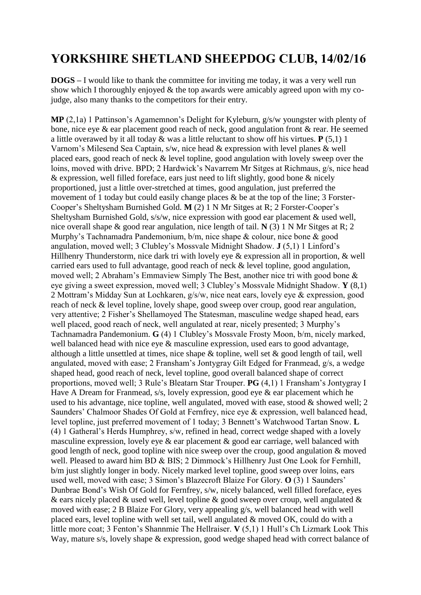## **YORKSHIRE SHETLAND SHEEPDOG CLUB, 14/02/16**

**DOGS –** I would like to thank the committee for inviting me today, it was a very well run show which I thoroughly enjoyed & the top awards were amicably agreed upon with my cojudge, also many thanks to the competitors for their entry.

**MP** (2,1a) 1 Pattinson's Agamemnon's Delight for Kyleburn, g/s/w youngster with plenty of bone, nice eye & ear placement good reach of neck, good angulation front & rear. He seemed a little overawed by it all today & was a little reluctant to show off his virtues. **P** (5,1) 1 Varnom's Milesend Sea Captain, s/w, nice head & expression with level planes & well placed ears, good reach of neck & level topline, good angulation with lovely sweep over the loins, moved with drive. BPD; 2 Hardwick's Navarrem Mr Sitges at Richmaus, g/s, nice head & expression, well filled foreface, ears just need to lift slightly, good bone & nicely proportioned, just a little over-stretched at times, good angulation, just preferred the movement of 1 today but could easily change places & be at the top of the line; 3 Forster-Cooper's Sheltysham Burnished Gold. **M** (2) 1 N Mr Sitges at R; 2 Forster-Cooper's Sheltysham Burnished Gold, s/s/w, nice expression with good ear placement & used well, nice overall shape & good rear angulation, nice length of tail. **N** (3) 1 N Mr Sitges at R; 2 Murphy's Tachnamadra Pandemonium, b/m, nice shape & colour, nice bone & good angulation, moved well; 3 Clubley's Mossvale Midnight Shadow. **J** (5,1) 1 Linford's Hillhenry Thunderstorm, nice dark tri with lovely eye & expression all in proportion, & well carried ears used to full advantage, good reach of neck & level topline, good angulation, moved well; 2 Abraham's Emmaview Simply The Best, another nice tri with good bone & eye giving a sweet expression, moved well; 3 Clubley's Mossvale Midnight Shadow. **Y** (8,1) 2 Mottram's Midday Sun at Lochkaren, g/s/w, nice neat ears, lovely eye & expression, good reach of neck & level topline, lovely shape, good sweep over croup, good rear angulation, very attentive; 2 Fisher's Shellamoyed The Statesman, masculine wedge shaped head, ears well placed, good reach of neck, well angulated at rear, nicely presented; 3 Murphy's Tachnamadra Pandemonium. **G** (4) 1 Clubley's Mossvale Frosty Moon, b/m, nicely marked, well balanced head with nice eye & masculine expression, used ears to good advantage, although a little unsettled at times, nice shape & topline, well set & good length of tail, well angulated, moved with ease; 2 Fransham's Jontygray Gilt Edged for Franmead, g/s, a wedge shaped head, good reach of neck, level topline, good overall balanced shape of correct proportions, moved well; 3 Rule's Bleatarn Star Trouper. **PG** (4,1) 1 Fransham's Jontygray I Have A Dream for Franmead, s/s, lovely expression, good eye & ear placement which he used to his advantage, nice topline, well angulated, moved with ease, stood  $\&$  showed well; 2 Saunders' Chalmoor Shades Of Gold at Fernfrey, nice eye & expression, well balanced head, level topline, just preferred movement of 1 today; 3 Bennett's Watchwood Tartan Snow. **L**  (4) 1 Gatheral's Herds Humphrey, s/w, refined in head, correct wedge shaped with a lovely masculine expression, lovely eye & ear placement & good ear carriage, well balanced with good length of neck, good topline with nice sweep over the croup, good angulation & moved well. Pleased to award him BD & BIS; 2 Dimmock's Hillhenry Just One Look for Fernhill, b/m just slightly longer in body. Nicely marked level topline, good sweep over loins, ears used well, moved with ease; 3 Simon's Blazecroft Blaize For Glory. **O** (3) 1 Saunders' Dunbrae Bond's Wish Of Gold for Fernfrey, s/w, nicely balanced, well filled foreface, eyes & ears nicely placed & used well, level topline & good sweep over croup, well angulated & moved with ease; 2 B Blaize For Glory, very appealing g/s, well balanced head with well placed ears, level topline with well set tail, well angulated & moved OK, could do with a little more coat; 3 Fenton's Shannmie The Hellraiser. **V** (5,1) 1 Hull's Ch Lizmark Look This Way, mature s/s, lovely shape & expression, good wedge shaped head with correct balance of